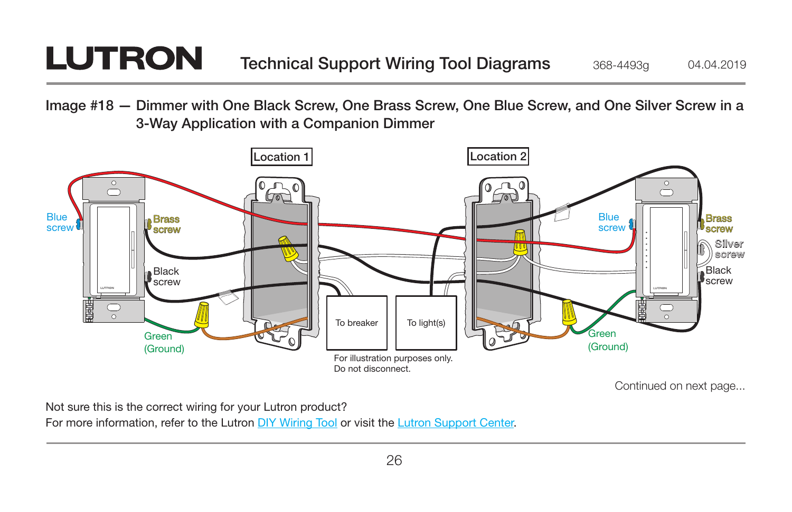## **LUTRON**

Image #18 — Dimmer with One Black Screw, One Brass Screw, One Blue Screw, and One Silver Screw in a 3-Way Application with a Companion Dimmer



Not sure this is the correct wiring for your Lutron product?

For more information, refer to the Lutron DIY Wiring Tool or visit the Lutron Support Center.